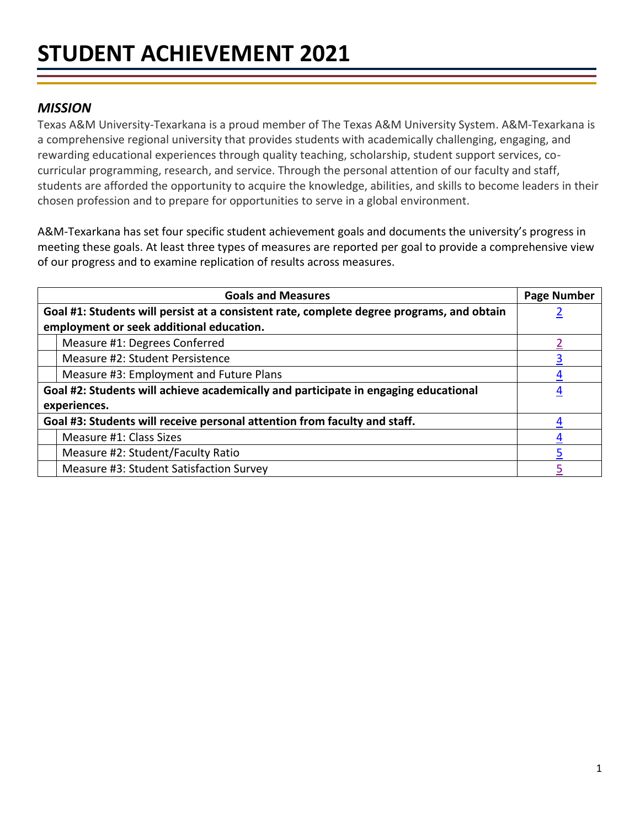# *MISSION*

Texas A&M University-Texarkana is a proud member of The Texas A&M University System. A&M-Texarkana is a comprehensive regional university that provides students with academically challenging, engaging, and rewarding educational experiences through quality teaching, scholarship, student support services, cocurricular programming, research, and service. Through the personal attention of our faculty and staff, students are afforded the opportunity to acquire the knowledge, abilities, and skills to become leaders in their chosen profession and to prepare for opportunities to serve in a global environment.

A&M-Texarkana has set four specific student achievement goals and documents the university's progress in meeting these goals. At least three types of measures are reported per goal to provide a comprehensive view of our progress and to examine replication of results across measures.

<span id="page-0-0"></span>

| <b>Goals and Measures</b>                                                                 | <b>Page Number</b> |
|-------------------------------------------------------------------------------------------|--------------------|
| Goal #1: Students will persist at a consistent rate, complete degree programs, and obtain |                    |
| employment or seek additional education.                                                  |                    |
| Measure #1: Degrees Conferred                                                             |                    |
| Measure #2: Student Persistence                                                           |                    |
| Measure #3: Employment and Future Plans                                                   |                    |
| Goal #2: Students will achieve academically and participate in engaging educational       |                    |
| experiences.                                                                              |                    |
| Goal #3: Students will receive personal attention from faculty and staff.                 |                    |
| Measure #1: Class Sizes                                                                   |                    |
| Measure #2: Student/Faculty Ratio                                                         |                    |
| Measure #3: Student Satisfaction Survey                                                   |                    |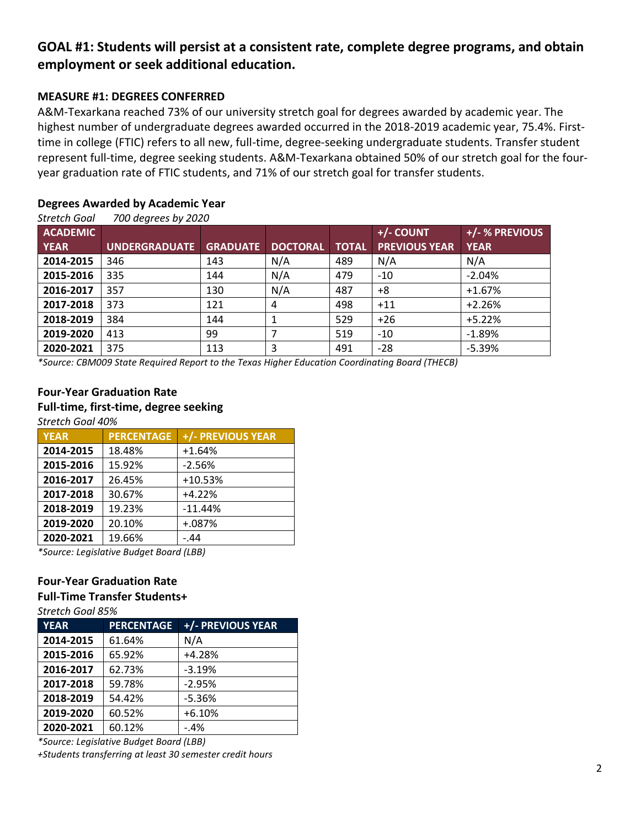# <span id="page-1-0"></span>**GOAL #1: Students will persist at a consistent rate, complete degree programs, and obtain employment or seek additional education.**

### <span id="page-1-1"></span>**MEASURE #1: DEGREES CONFERRED**

A&M-Texarkana reached 73% of our university stretch goal for degrees awarded by academic year. The highest number of undergraduate degrees awarded occurred in the 2018-2019 academic year, 75.4%. Firsttime in college (FTIC) refers to all new, full-time, degree-seeking undergraduate students. Transfer student represent full-time, degree seeking students. A&M-Texarkana obtained 50% of our stretch goal for the fouryear graduation rate of FTIC students, and 71% of our stretch goal for transfer students.

## **Degrees Awarded by Academic Year**

*Stretch Goal 700 degrees by 2020*

|                 | $200$ acquessless $200$ |                 |                 |              |                      |                |
|-----------------|-------------------------|-----------------|-----------------|--------------|----------------------|----------------|
| <b>ACADEMIC</b> |                         |                 |                 |              | +/- COUNT            | +/- % PREVIOUS |
| <b>YEAR</b>     | <b>UNDERGRADUATE</b>    | <b>GRADUATE</b> | <b>DOCTORAL</b> | <b>TOTAL</b> | <b>PREVIOUS YEAR</b> | <b>YEAR</b>    |
| 2014-2015       | 346                     | 143             | N/A             | 489          | N/A                  | N/A            |
| 2015-2016       | 335                     | 144             | N/A             | 479          | $-10$                | $-2.04%$       |
| 2016-2017       | 357                     | 130             | N/A             | 487          | +8                   | $+1.67%$       |
| 2017-2018       | 373                     | 121             | 4               | 498          | $+11$                | $+2.26%$       |
| 2018-2019       | 384                     | 144             |                 | 529          | $+26$                | $+5.22%$       |
| 2019-2020       | 413                     | 99              | 7               | 519          | $-10$                | $-1.89%$       |
| 2020-2021       | 375                     | 113             | 3               | 491          | $-28$                | $-5.39%$       |

*\*Source: CBM009 State Required Report to the Texas Higher Education Coordinating Board (THECB)*

# **Four-Year Graduation Rate Full-time, first-time, degree seeking**

*Stretch Goal 40%*

| <b>YEAR</b>  | <b>PERCENTAGE</b> | +/- PREVIOUS YEAR       |
|--------------|-------------------|-------------------------|
| 2014-2015    | 18.48%            | $+1.64%$                |
| 2015-2016    | 15.92%            | $-2.56%$                |
| 2016-2017    | 26.45%            | $+10.53%$               |
| 2017-2018    | 30.67%            | $+4.22%$                |
| 2018-2019    | 19.23%            | $-11.44%$               |
| 2019-2020    | 20.10%            | $+.087%$                |
| 2020-2021    | 19.66%            | $-44$                   |
| $\mathbf{a}$ |                   | $\cdot \cdot - - \cdot$ |

*\*Source: Legislative Budget Board (LBB)*

#### **Four-Year Graduation Rate**

#### **Full-Time Transfer Students+**

*Stretch Goal 85%*

| <b>YEAR</b> | <b>PERCENTAGE</b> | +/- PREVIOUS YEAR |
|-------------|-------------------|-------------------|
| 2014-2015   | 61.64%            | N/A               |
| 2015-2016   | 65.92%            | $+4.28%$          |
| 2016-2017   | 62.73%            | $-3.19%$          |
| 2017-2018   | 59.78%            | $-2.95%$          |
| 2018-2019   | 54.42%            | $-5.36%$          |
| 2019-2020   | 60.52%            | $+6.10%$          |
| 2020-2021   | 60.12%            | $-4%$             |

*\*Source: Legislative Budget Board (LBB)*

*+Students transferring at least 30 semester credit hours*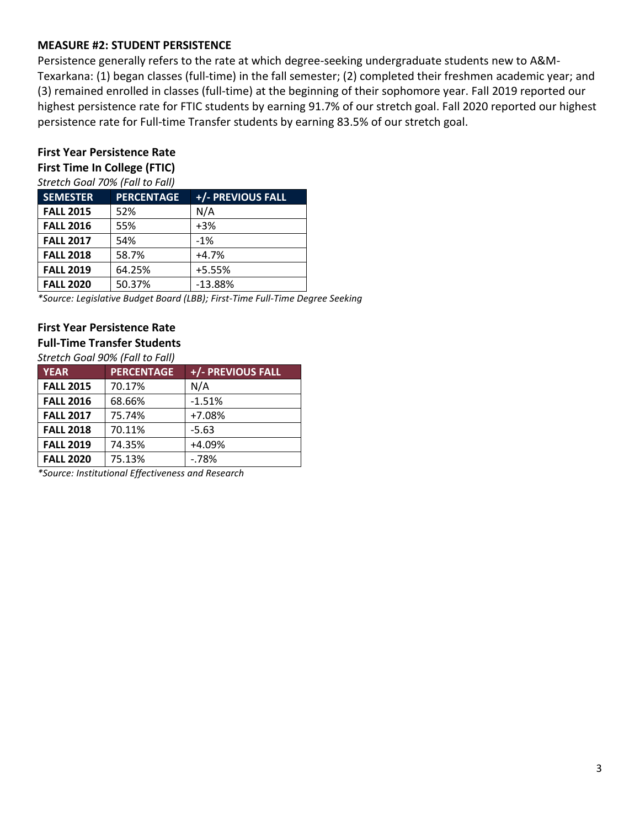## **MEASURE #2: STUDENT PERSISTENCE**

Persistence generally refers to the rate at which degree-seeking undergraduate students new to A&M-Texarkana: (1) began classes (full-time) in the fall semester; (2) completed their freshmen academic year; and (3) remained enrolled in classes (full-time) at the beginning of their sophomore year. Fall 2019 reported our highest persistence rate for FTIC students by earning 91.7% of our stretch goal. Fall 2020 reported our highest persistence rate for Full-time Transfer students by earning 83.5% of our stretch goal.

# **First Year Persistence Rate**

## **First Time In College (FTIC)**

*Stretch Goal 70% (Fall to Fall)*

| <b>SEMESTER</b>  | <b>PERCENTAGE</b> | +/- PREVIOUS FALL |
|------------------|-------------------|-------------------|
| <b>FALL 2015</b> | 52%               | N/A               |
| <b>FALL 2016</b> | 55%               | $+3%$             |
| <b>FALL 2017</b> | 54%               | $-1%$             |
| <b>FALL 2018</b> | 58.7%             | $+4.7%$           |
| <b>FALL 2019</b> | 64.25%            | $+5.55%$          |
| <b>FALL 2020</b> | 50.37%            | $-13.88%$         |

*\*Source: Legislative Budget Board (LBB); First-Time Full-Time Degree Seeking*

## **First Year Persistence Rate**

**Full-Time Transfer Students**

*Stretch Goal 90% (Fall to Fall)*

| <b>YEAR</b>      | <b>PERCENTAGE</b> | +/- PREVIOUS FALL |
|------------------|-------------------|-------------------|
| <b>FALL 2015</b> | 70.17%            | N/A               |
| <b>FALL 2016</b> | 68.66%            | $-1.51%$          |
| <b>FALL 2017</b> | 75.74%            | +7.08%            |
| <b>FALL 2018</b> | 70.11%            | $-5.63$           |
| <b>FALL 2019</b> | 74.35%            | $+4.09%$          |
| <b>FALL 2020</b> | 75.13%            | $-78%$            |

*\*Source: Institutional Effectiveness and Research*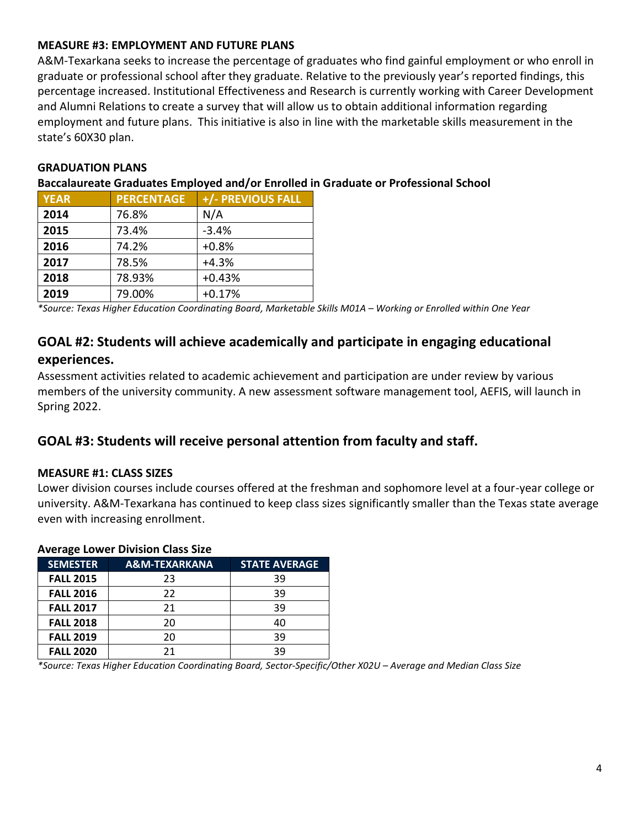## <span id="page-3-0"></span>**MEASURE #3: EMPLOYMENT AND FUTURE PLANS**

A&M-Texarkana seeks to increase the percentage of graduates who find gainful employment or who enroll in graduate or professional school after they graduate. Relative to the previously year's reported findings, this percentage increased. Institutional Effectiveness and Research is currently working with Career Development and Alumni Relations to create a survey that will allow us to obtain additional information regarding employment and future plans. This initiative is also in line with the marketable skills measurement in the state's 60X30 plan.

## **GRADUATION PLANS**

### **Baccalaureate Graduates Employed and/or Enrolled in Graduate or Professional School**

| <b>YEAR</b> | <b>PERCENTAGE</b> | +/- PREVIOUS FALL |
|-------------|-------------------|-------------------|
| 2014        | 76.8%             | N/A               |
| 2015        | 73.4%             | $-3.4%$           |
| 2016        | 74.2%             | $+0.8%$           |
| 2017        | 78.5%             | $+4.3%$           |
| 2018        | 78.93%            | $+0.43%$          |
| 2019        | 79.00%            | $+0.17%$          |

*\*Source: Texas Higher Education Coordinating Board, Marketable Skills M01A – Working or Enrolled within One Year*

# <span id="page-3-1"></span>**GOAL #2: Students will achieve academically and participate in engaging educational experiences.**

Assessment activities related to academic achievement and participation are under review by various members of the university community. A new assessment software management tool, AEFIS, will launch in Spring 2022.

## <span id="page-3-2"></span>**GOAL #3: Students will receive personal attention from faculty and staff.**

#### <span id="page-3-3"></span>**MEASURE #1: CLASS SIZES**

Lower division courses include courses offered at the freshman and sophomore level at a four-year college or university. A&M-Texarkana has continued to keep class sizes significantly smaller than the Texas state average even with increasing enrollment.

| AVEI ALE LUWEI DIVISION CIASS SIZE |                          |                      |  |  |
|------------------------------------|--------------------------|----------------------|--|--|
| <b>SEMESTER</b>                    | <b>A&amp;M-TEXARKANA</b> | <b>STATE AVERAGE</b> |  |  |
| <b>FALL 2015</b>                   | 23                       | 39                   |  |  |
| <b>FALL 2016</b>                   | 22                       | 39                   |  |  |
| <b>FALL 2017</b>                   | 21                       | 39                   |  |  |
| <b>FALL 2018</b>                   | 20                       | 40                   |  |  |
| <b>FALL 2019</b>                   | 20                       | 39                   |  |  |
| <b>FALL 2020</b>                   | 21                       | 39                   |  |  |

#### **Average Lower Division Class Size**

*\*Source: Texas Higher Education Coordinating Board, Sector-Specific/Other X02U – Average and Median Class Size*